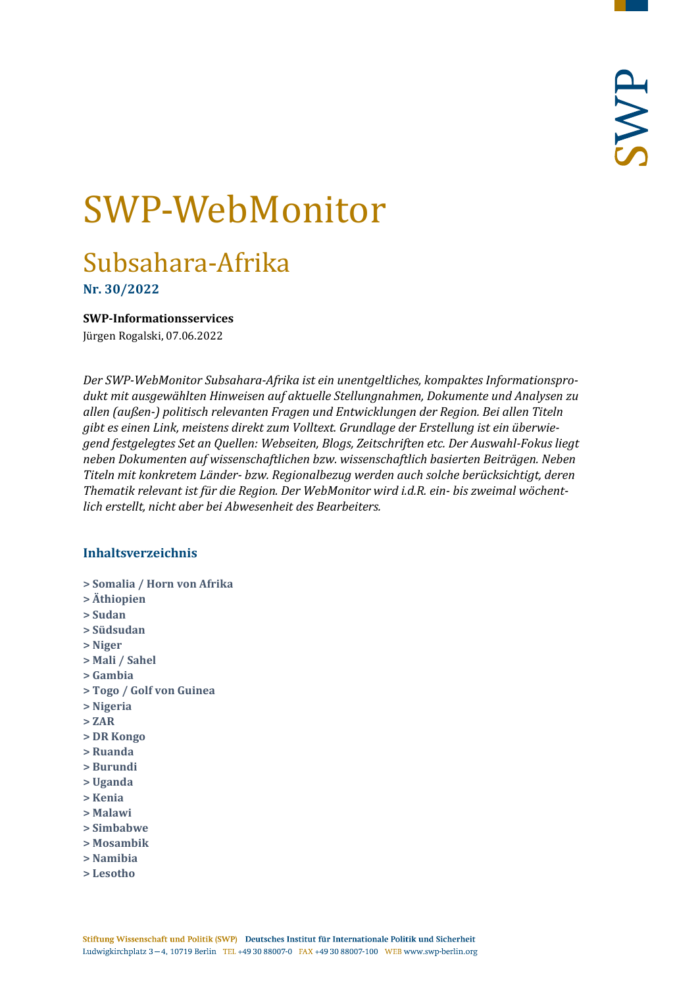# SWP-WebMonitor

# Subsahara-Afrika

**Nr. 30/2022**

<span id="page-0-0"></span>**SWP-Informationsservices**

Jürgen Rogalski, 07.06.2022

*Der SWP-WebMonitor Subsahara-Afrika ist ein unentgeltliches, kompaktes Informationsprodukt mit ausgewählten Hinweisen auf aktuelle Stellungnahmen, Dokumente und Analysen zu allen (außen-) politisch relevanten Fragen und Entwicklungen der Region. Bei allen Titeln gibt es einen Link, meistens direkt zum Volltext. Grundlage der Erstellung ist ein überwiegend festgelegtes Set an Quellen: Webseiten, Blogs, Zeitschriften etc. Der Auswahl-Fokus liegt neben Dokumenten auf wissenschaftlichen bzw. wissenschaftlich basierten Beiträgen. Neben Titeln mit konkretem Länder- bzw. Regionalbezug werden auch solche berücksichtigt, deren Thematik relevant ist für die Region. Der WebMonitor wird i.d.R. ein- bis zweimal wöchentlich erstellt, nicht aber bei Abwesenheit des Bearbeiters.*

#### **Inhaltsverzeichnis**

- **[> Somalia / Horn von Afrika](#page-1-0)**
- **[> Äthiopien](#page-1-1)**
- **[> Sudan](#page-2-0)**
- **[> Südsudan](#page-3-0)**
- **[> Niger](#page-4-0)**
- **[> Mali / Sahel](#page-4-1)**
- **[> Gambia](#page-5-0)**
- **[> Togo / Golf von Guinea](#page-5-1)**
- **[> Nigeria](#page-5-2)**
- **[> ZAR](#page-6-0)**
- **[> DR Kongo](#page-7-0)**
- **[> Ruanda](#page-7-1)**
- **[> Burundi](#page-8-0)**
- **[> Uganda](#page-8-1)**
- **[> Kenia](#page-8-2)**
- **[> Malawi](#page-9-0)**
- **[> Simbabwe](#page-9-1)**
- **[> Mosambik](#page-10-0)**
- **[> Namibia](#page-10-1)**
- **[> Lesotho](#page-10-2)**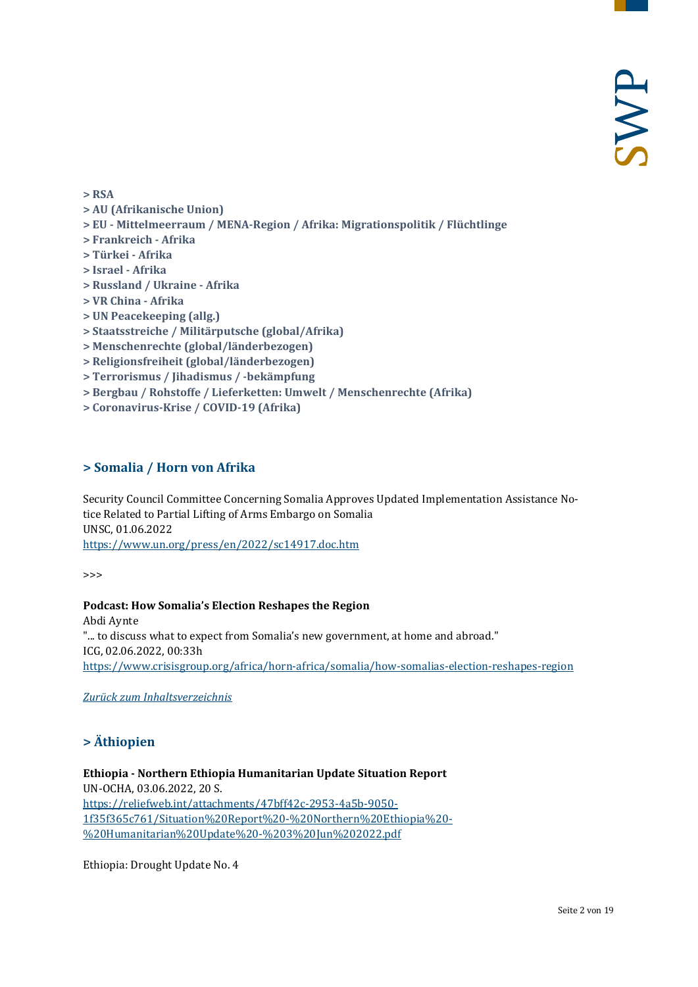**[> RSA](#page-10-3)**

- **[> AU \(Afrikanische Union\)](#page-11-0)**
- **> EU - [Mittelmeerraum / MENA-Region / Afrika: Migrationspolitik / Flüchtlinge](#page-11-1)**
- **[> Frankreich -](#page-12-0) Afrika**
- **[> Türkei -](#page-12-1) Afrika**
- **[> Israel -](#page-12-2) Afrika**
- **[> Russland / Ukraine -](#page-13-0) Afrika**
- **[> VR China -](#page-14-0) Afrika**
- **[> UN Peacekeeping \(allg.\)](#page-14-1)**
- **[> Staatsstreiche / Militärputsche \(global/Afrika\)](#page-15-0)**
- **[> Menschenrechte \(global/länderbezogen\)](#page-15-1)**
- **[> Religionsfreiheit \(global/länderbezogen\)](#page-15-2)**
- **[> Terrorismus / Jihadismus / -bekämpfung](#page-15-3)**
- **[> Bergbau / Rohstoffe / Lieferketten: Umwelt / Menschenrechte \(Afrika\)](#page-16-0)**
- <span id="page-1-0"></span>**[> Coronavirus-Krise / COVID-19 \(Afrika\)](#page-17-0)**

#### **> Somalia / Horn von Afrika**

Security Council Committee Concerning Somalia Approves Updated Implementation Assistance Notice Related to Partial Lifting of Arms Embargo on Somalia UNSC, 01.06.2022 <https://www.un.org/press/en/2022/sc14917.doc.htm>

>>>

**Podcast: How Somalia's Election Reshapes the Region** Abdi Aynte "... to discuss what to expect from Somalia's new government, at home and abroad." ICG, 02.06.2022, 00:33h <https://www.crisisgroup.org/africa/horn-africa/somalia/how-somalias-election-reshapes-region>

<span id="page-1-1"></span>*[Zurück zum Inhaltsverzeichnis](#page-0-0)*

#### **> Äthiopien**

**Ethiopia - Northern Ethiopia Humanitarian Update Situation Report** UN-OCHA, 03.06.2022, 20 S. [https://reliefweb.int/attachments/47bff42c-2953-4a5b-9050-](https://reliefweb.int/attachments/47bff42c-2953-4a5b-9050-1f35f365c761/Situation%20Report%20-%20Northern%20Ethiopia%20-%20Humanitarian%20Update%20-%203%20Jun%202022.pdf) [1f35f365c761/Situation%20Report%20-%20Northern%20Ethiopia%20-](https://reliefweb.int/attachments/47bff42c-2953-4a5b-9050-1f35f365c761/Situation%20Report%20-%20Northern%20Ethiopia%20-%20Humanitarian%20Update%20-%203%20Jun%202022.pdf) [%20Humanitarian%20Update%20-%203%20Jun%202022.pdf](https://reliefweb.int/attachments/47bff42c-2953-4a5b-9050-1f35f365c761/Situation%20Report%20-%20Northern%20Ethiopia%20-%20Humanitarian%20Update%20-%203%20Jun%202022.pdf)

Ethiopia: Drought Update No. 4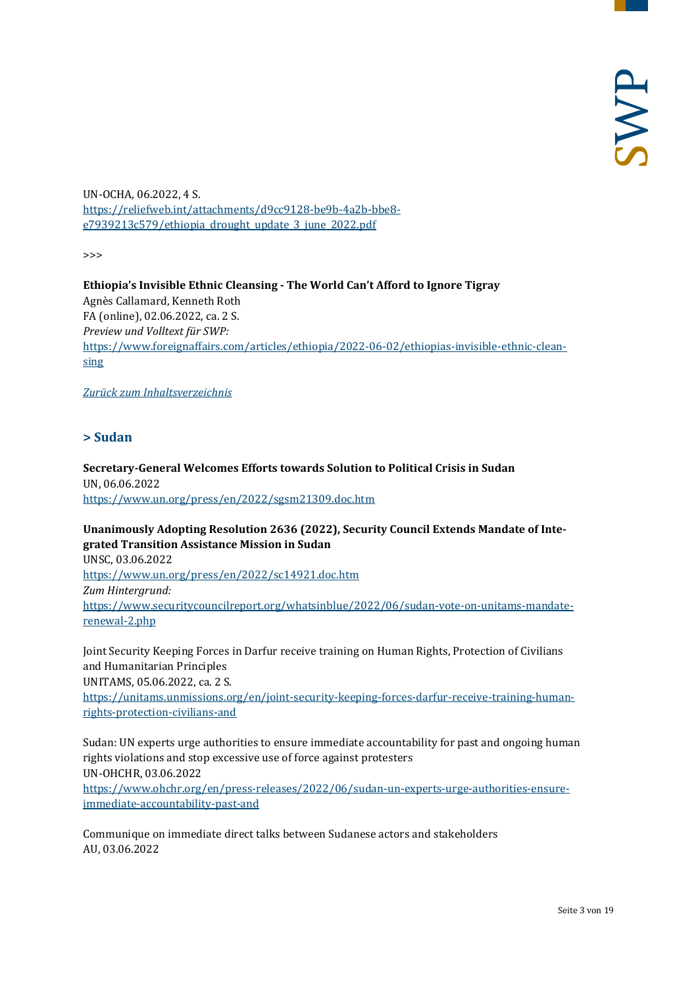UN-OCHA, 06.2022, 4 S. [https://reliefweb.int/attachments/d9cc9128-be9b-4a2b-bbe8](https://reliefweb.int/attachments/d9cc9128-be9b-4a2b-bbe8-e7939213c579/ethiopia_drought_update_3_june_2022.pdf) [e7939213c579/ethiopia\\_drought\\_update\\_3\\_june\\_2022.pdf](https://reliefweb.int/attachments/d9cc9128-be9b-4a2b-bbe8-e7939213c579/ethiopia_drought_update_3_june_2022.pdf)

>>>

**Ethiopia's Invisible Ethnic Cleansing - The World Can't Afford to Ignore Tigray** Agnès Callamard, Kenneth Roth FA (online), 02.06.2022, ca. 2 S. *Preview und Volltext für SWP:* [https://www.foreignaffairs.com/articles/ethiopia/2022-06-02/ethiopias-invisible-ethnic-clean](https://www.foreignaffairs.com/articles/ethiopia/2022-06-02/ethiopias-invisible-ethnic-cleansing)[sing](https://www.foreignaffairs.com/articles/ethiopia/2022-06-02/ethiopias-invisible-ethnic-cleansing)

<span id="page-2-0"></span>*[Zurück zum Inhaltsverzeichnis](#page-0-0)*

#### **> Sudan**

**Secretary-General Welcomes Efforts towards Solution to Political Crisis in Sudan** UN, 06.06.2022 <https://www.un.org/press/en/2022/sgsm21309.doc.htm>

**Unanimously Adopting Resolution 2636 (2022), Security Council Extends Mandate of Integrated Transition Assistance Mission in Sudan**

UNSC, 03.06.2022 <https://www.un.org/press/en/2022/sc14921.doc.htm> *Zum Hintergrund:* [https://www.securitycouncilreport.org/whatsinblue/2022/06/sudan-vote-on-unitams-mandate](https://www.securitycouncilreport.org/whatsinblue/2022/06/sudan-vote-on-unitams-mandate-renewal-2.php)[renewal-2.php](https://www.securitycouncilreport.org/whatsinblue/2022/06/sudan-vote-on-unitams-mandate-renewal-2.php)

Joint Security Keeping Forces in Darfur receive training on Human Rights, Protection of Civilians and Humanitarian Principles UNITAMS, 05.06.2022, ca. 2 S.

[https://unitams.unmissions.org/en/joint-security-keeping-forces-darfur-receive-training-human](https://unitams.unmissions.org/en/joint-security-keeping-forces-darfur-receive-training-human-rights-protection-civilians-and)[rights-protection-civilians-and](https://unitams.unmissions.org/en/joint-security-keeping-forces-darfur-receive-training-human-rights-protection-civilians-and)

Sudan: UN experts urge authorities to ensure immediate accountability for past and ongoing human rights violations and stop excessive use of force against protesters UN-OHCHR, 03.06.2022

[https://www.ohchr.org/en/press-releases/2022/06/sudan-un-experts-urge-authorities-ensure](https://www.ohchr.org/en/press-releases/2022/06/sudan-un-experts-urge-authorities-ensure-immediate-accountability-past-and)[immediate-accountability-past-and](https://www.ohchr.org/en/press-releases/2022/06/sudan-un-experts-urge-authorities-ensure-immediate-accountability-past-and)

Communique on immediate direct talks between Sudanese actors and stakeholders AU, 03.06.2022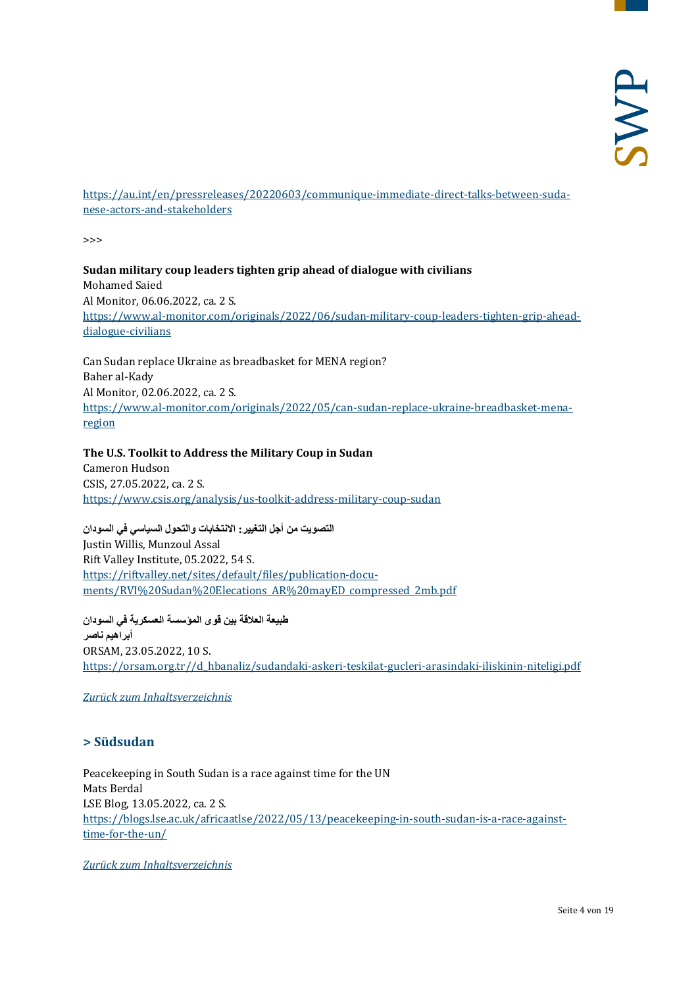[https://au.int/en/pressreleases/20220603/communique-immediate-direct-talks-between-suda](https://au.int/en/pressreleases/20220603/communique-immediate-direct-talks-between-sudanese-actors-and-stakeholders)[nese-actors-and-stakeholders](https://au.int/en/pressreleases/20220603/communique-immediate-direct-talks-between-sudanese-actors-and-stakeholders)

>>>

#### **Sudan military coup leaders tighten grip ahead of dialogue with civilians** Mohamed Saied Al Monitor, 06.06.2022, ca. 2 S. [https://www.al-monitor.com/originals/2022/06/sudan-military-coup-leaders-tighten-grip-ahead](https://www.al-monitor.com/originals/2022/06/sudan-military-coup-leaders-tighten-grip-ahead-dialogue-civilians)[dialogue-civilians](https://www.al-monitor.com/originals/2022/06/sudan-military-coup-leaders-tighten-grip-ahead-dialogue-civilians)

Can Sudan replace Ukraine as breadbasket for MENA region? Baher al-Kady Al Monitor, 02.06.2022, ca. 2 S. [https://www.al-monitor.com/originals/2022/05/can-sudan-replace-ukraine-breadbasket-mena](https://www.al-monitor.com/originals/2022/05/can-sudan-replace-ukraine-breadbasket-mena-region)[region](https://www.al-monitor.com/originals/2022/05/can-sudan-replace-ukraine-breadbasket-mena-region)

# **The U.S. Toolkit to Address the Military Coup in Sudan**

Cameron Hudson CSIS, 27.05.2022, ca. 2 S. <https://www.csis.org/analysis/us-toolkit-address-military-coup-sudan>

**التصویت من أجل التغییر: الانتخابات والتحول السیاسي في السودان** Justin Willis, Munzoul Assal Rift Valley Institute, 05.2022, 54 S. [https://riftvalley.net/sites/default/files/publication-docu](https://riftvalley.net/sites/default/files/publication-documents/RVI%20Sudan%20Elecations_AR%20mayED_compressed_2mb.pdf)[ments/RVI%20Sudan%20Elecations\\_AR%20mayED\\_compressed\\_2mb.pdf](https://riftvalley.net/sites/default/files/publication-documents/RVI%20Sudan%20Elecations_AR%20mayED_compressed_2mb.pdf)

**طبیعة العلاقة بین قوى المؤسسة العسكریة في السودان أبراھیم ناصر** ORSAM, 23.05.2022, 10 S. [https://orsam.org.tr//d\\_hbanaliz/sudandaki-askeri-teskilat-gucleri-arasindaki-iliskinin-niteligi.pdf](https://orsam.org.tr/d_hbanaliz/sudandaki-askeri-teskilat-gucleri-arasindaki-iliskinin-niteligi.pdf)

#### <span id="page-3-0"></span>*Zurück zum [Inhaltsverzeichnis](#page-0-0)*

#### **> Südsudan**

Peacekeeping in South Sudan is a race against time for the UN Mats Berdal LSE Blog, 13.05.2022, ca. 2 S. [https://blogs.lse.ac.uk/africaatlse/2022/05/13/peacekeeping-in-south-sudan-is-a-race-against](https://blogs.lse.ac.uk/africaatlse/2022/05/13/peacekeeping-in-south-sudan-is-a-race-against-time-for-the-un/)[time-for-the-un/](https://blogs.lse.ac.uk/africaatlse/2022/05/13/peacekeeping-in-south-sudan-is-a-race-against-time-for-the-un/)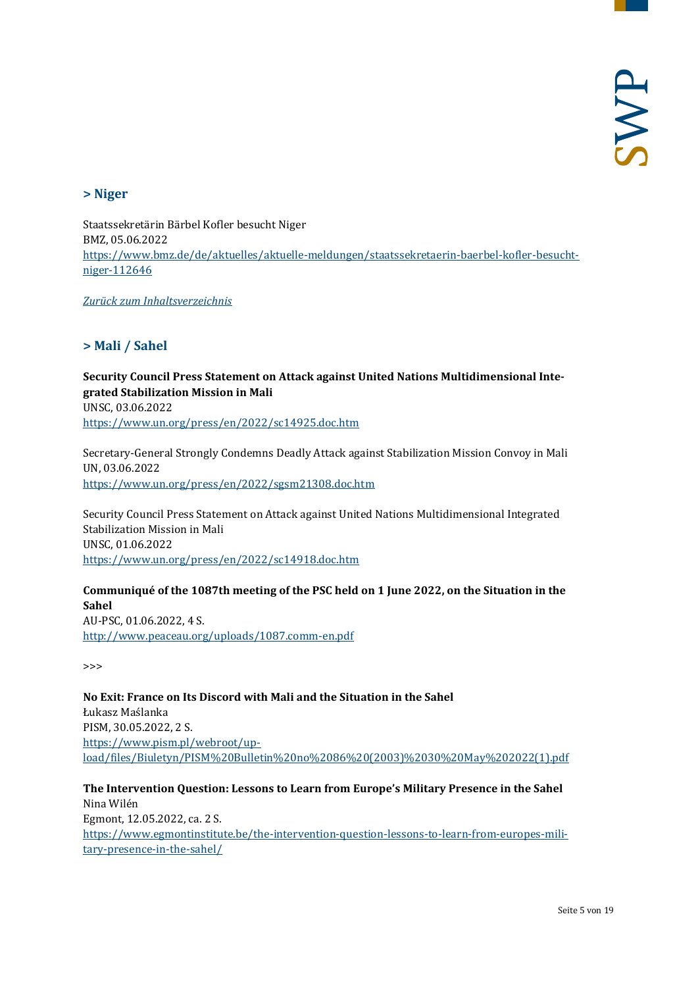#### <span id="page-4-0"></span>**> Niger**

Staatssekretärin Bärbel Kofler besucht Niger BMZ, 05.06.2022 [https://www.bmz.de/de/aktuelles/aktuelle-meldungen/staatssekretaerin-baerbel-kofler-besucht](https://www.bmz.de/de/aktuelles/aktuelle-meldungen/staatssekretaerin-baerbel-kofler-besucht-niger-112646)[niger-112646](https://www.bmz.de/de/aktuelles/aktuelle-meldungen/staatssekretaerin-baerbel-kofler-besucht-niger-112646)

<span id="page-4-1"></span>*[Zurück zum Inhaltsverzeichnis](#page-0-0)*

#### **> Mali / Sahel**

# **Security Council Press Statement on Attack against United Nations Multidimensional Integrated Stabilization Mission in Mali** UNSC, 03.06.2022

<https://www.un.org/press/en/2022/sc14925.doc.htm>

Secretary-General Strongly Condemns Deadly Attack against Stabilization Mission Convoy in Mali UN, 03.06.2022 <https://www.un.org/press/en/2022/sgsm21308.doc.htm>

Security Council Press Statement on Attack against United Nations Multidimensional Integrated Stabilization Mission in Mali UNSC, 01.06.2022 <https://www.un.org/press/en/2022/sc14918.doc.htm>

**Communiqué of the 1087th meeting of the PSC held on 1 June 2022, on the Situation in the Sahel** AU-PSC, 01.06.2022, 4 S. <http://www.peaceau.org/uploads/1087.comm-en.pdf>

>>>

**No Exit: France on Its Discord with Mali and the Situation in the Sahel** Łukasz Maślanka PISM, 30.05.2022, 2 S. [https://www.pism.pl/webroot/up](https://www.pism.pl/webroot/upload/files/Biuletyn/PISM%20Bulletin%20no%2086%20(2003)%2030%20May%202022(1).pdf)[load/files/Biuletyn/PISM%20Bulletin%20no%2086%20\(2003\)%2030%20May%202022\(1\).pdf](https://www.pism.pl/webroot/upload/files/Biuletyn/PISM%20Bulletin%20no%2086%20(2003)%2030%20May%202022(1).pdf)

**The Intervention Question: Lessons to Learn from Europe's Military Presence in the Sahel** Nina Wilén Egmont, 12.05.2022, ca. 2 S. [https://www.egmontinstitute.be/the-intervention-question-lessons-to-learn-from-europes-mili](https://www.egmontinstitute.be/the-intervention-question-lessons-to-learn-from-europes-military-presence-in-the-sahel/)[tary-presence-in-the-sahel/](https://www.egmontinstitute.be/the-intervention-question-lessons-to-learn-from-europes-military-presence-in-the-sahel/)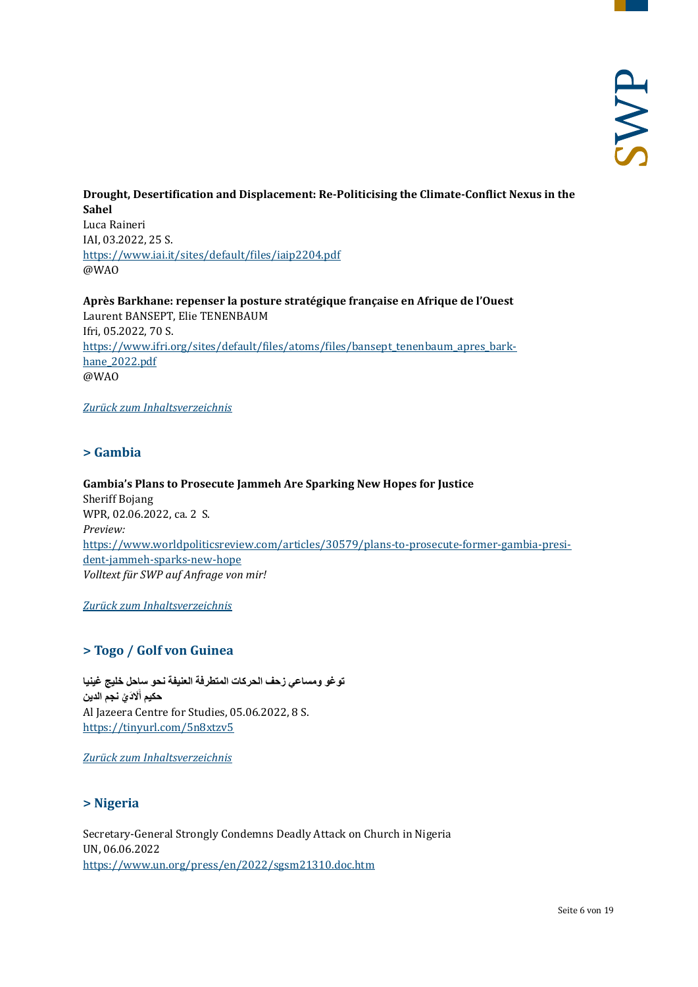#### **Drought, Desertification and Displacement: Re-Politicising the Climate-Conflict Nexus in the Sahel** Luca Raineri IAI, 03.2022, 25 S. <https://www.iai.it/sites/default/files/iaip2204.pdf> @WAO

**Après Barkhane: repenser la posture stratégique française en Afrique de l'Ouest** Laurent BANSEPT, Elie TENENBAUM Ifri, 05.2022, 70 S. [https://www.ifri.org/sites/default/files/atoms/files/bansept\\_tenenbaum\\_apres\\_bark](https://www.ifri.org/sites/default/files/atoms/files/bansept_tenenbaum_apres_barkhane_2022.pdf)[hane\\_2022.pdf](https://www.ifri.org/sites/default/files/atoms/files/bansept_tenenbaum_apres_barkhane_2022.pdf) @WAO

<span id="page-5-0"></span>*[Zurück zum Inhaltsverzeichnis](#page-0-0)*

# **> Gambia**

**Gambia's Plans to Prosecute Jammeh Are Sparking New Hopes for Justice** Sheriff Bojang WPR, 02.06.2022, ca. 2 S. *Preview:* [https://www.worldpoliticsreview.com/articles/30579/plans-to-prosecute-former-gambia-presi](https://www.worldpoliticsreview.com/articles/30579/plans-to-prosecute-former-gambia-president-jammeh-sparks-new-hope)[dent-jammeh-sparks-new-hope](https://www.worldpoliticsreview.com/articles/30579/plans-to-prosecute-former-gambia-president-jammeh-sparks-new-hope) *Volltext für SWP auf Anfrage von mir!*

<span id="page-5-1"></span>*[Zurück zum Inhaltsverzeichnis](#page-0-0)*

#### **> Togo / Golf von Guinea**

**توغو ومساعي زحف الحركات المتطرفة العنیفة نحو ساحل خلیج غینیا ََلا َد ْي نجم الدین حكیم أ** Al Jazeera Centre for Studies, 05.06.2022, 8 S. <https://tinyurl.com/5n8xtzv5>

<span id="page-5-2"></span>*[Zurück zum Inhaltsverzeichnis](#page-0-0)*

#### **> Nigeria**

Secretary-General Strongly Condemns Deadly Attack on Church in Nigeria UN, 06.06.2022 <https://www.un.org/press/en/2022/sgsm21310.doc.htm>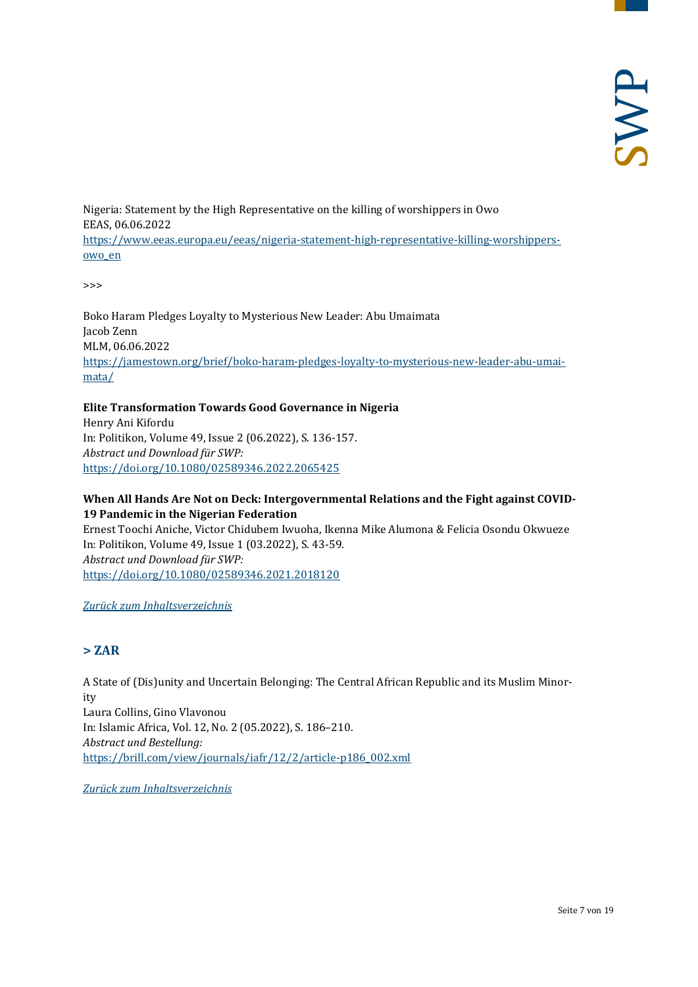Nigeria: Statement by the High Representative on the killing of worshippers in Owo EEAS, 06.06.2022 [https://www.eeas.europa.eu/eeas/nigeria-statement-high-representative-killing-worshippers](https://www.eeas.europa.eu/eeas/nigeria-statement-high-representative-killing-worshippers-owo_en)[owo\\_en](https://www.eeas.europa.eu/eeas/nigeria-statement-high-representative-killing-worshippers-owo_en)

>>>

Boko Haram Pledges Loyalty to Mysterious New Leader: Abu Umaimata Jacob Zenn MLM, 06.06.2022 [https://jamestown.org/brief/boko-haram-pledges-loyalty-to-mysterious-new-leader-abu-umai](https://jamestown.org/brief/boko-haram-pledges-loyalty-to-mysterious-new-leader-abu-umaimata/)[mata/](https://jamestown.org/brief/boko-haram-pledges-loyalty-to-mysterious-new-leader-abu-umaimata/)

#### **Elite Transformation Towards Good Governance in Nigeria**

Henry Ani Kifordu In: Politikon, Volume 49, Issue 2 (06.2022), S. 136-157. *Abstract und Download für SWP:* <https://doi.org/10.1080/02589346.2022.2065425>

#### **When All Hands Are Not on Deck: Intergovernmental Relations and the Fight against COVID-19 Pandemic in the Nigerian Federation**

Ernest Toochi Aniche, Victor Chidubem Iwuoha, Ikenna Mike Alumona & Felicia Osondu Okwueze In: Politikon, Volume 49, Issue 1 (03.2022), S. 43-59. *Abstract und Download für SWP:* <https://doi.org/10.1080/02589346.2021.2018120>

#### <span id="page-6-0"></span>*[Zurück zum Inhaltsverzeichnis](#page-0-0)*

#### **> ZAR**

A State of (Dis)unity and Uncertain Belonging: The Central African Republic and its Muslim Minority Laura Collins, Gino Vlavonou In: Islamic Africa, Vol. 12, No. 2 (05.2022), S. 186–210. *Abstract und Bestellung:* [https://brill.com/view/journals/iafr/12/2/article-p186\\_002.xml](https://brill.com/view/journals/iafr/12/2/article-p186_002.xml)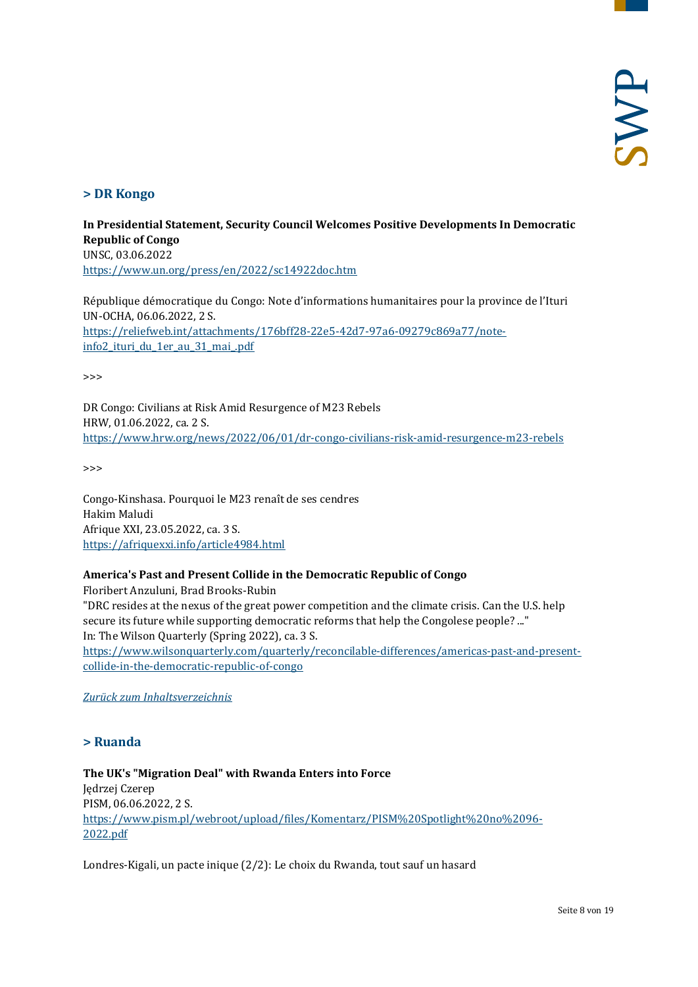## <span id="page-7-0"></span>**> DR Kongo**

**In Presidential Statement, Security Council Welcomes Positive Developments In Democratic Republic of Congo** UNSC, 03.06.2022 <https://www.un.org/press/en/2022/sc14922doc.htm>

République démocratique du Congo: Note d'informations humanitaires pour la province de l'Ituri UN-OCHA, 06.06.2022, 2 S. [https://reliefweb.int/attachments/176bff28-22e5-42d7-97a6-09279c869a77/note](https://reliefweb.int/attachments/176bff28-22e5-42d7-97a6-09279c869a77/note-info2_ituri_du_1er_au_31_mai_.pdf)[info2\\_ituri\\_du\\_1er\\_au\\_31\\_mai\\_.pdf](https://reliefweb.int/attachments/176bff28-22e5-42d7-97a6-09279c869a77/note-info2_ituri_du_1er_au_31_mai_.pdf)

>>>

DR Congo: Civilians at Risk Amid Resurgence of M23 Rebels HRW, 01.06.2022, ca. 2 S. <https://www.hrw.org/news/2022/06/01/dr-congo-civilians-risk-amid-resurgence-m23-rebels>

>>>

Congo-Kinshasa. Pourquoi le M23 renaît de ses cendres Hakim Maludi Afrique XXI, 23.05.2022, ca. 3 S. <https://afriquexxi.info/article4984.html>

#### **America's Past and Present Collide in the Democratic Republic of Congo**

Floribert Anzuluni, Brad Brooks-Rubin "DRC resides at the nexus of the great power competition and the climate crisis. Can the U.S. help secure its future while supporting democratic reforms that help the Congolese people? ..." In: The Wilson Quarterly (Spring 2022), ca. 3 S.

[https://www.wilsonquarterly.com/quarterly/reconcilable-differences/americas-past-and-present](https://www.wilsonquarterly.com/quarterly/reconcilable-differences/americas-past-and-present-collide-in-the-democratic-republic-of-congo)[collide-in-the-democratic-republic-of-congo](https://www.wilsonquarterly.com/quarterly/reconcilable-differences/americas-past-and-present-collide-in-the-democratic-republic-of-congo)

<span id="page-7-1"></span>*[Zurück zum Inhaltsverzeichnis](#page-0-0)*

#### **> Ruanda**

# **The UK's "Migration Deal" with Rwanda Enters into Force**

Jędrzej Czerep PISM, 06.06.2022, 2 S. [https://www.pism.pl/webroot/upload/files/Komentarz/PISM%20Spotlight%20no%2096-](https://www.pism.pl/webroot/upload/files/Komentarz/PISM%20Spotlight%20no%2096-2022.pdf) [2022.pdf](https://www.pism.pl/webroot/upload/files/Komentarz/PISM%20Spotlight%20no%2096-2022.pdf)

Londres-Kigali, un pacte inique (2/2): Le choix du Rwanda, tout sauf un hasard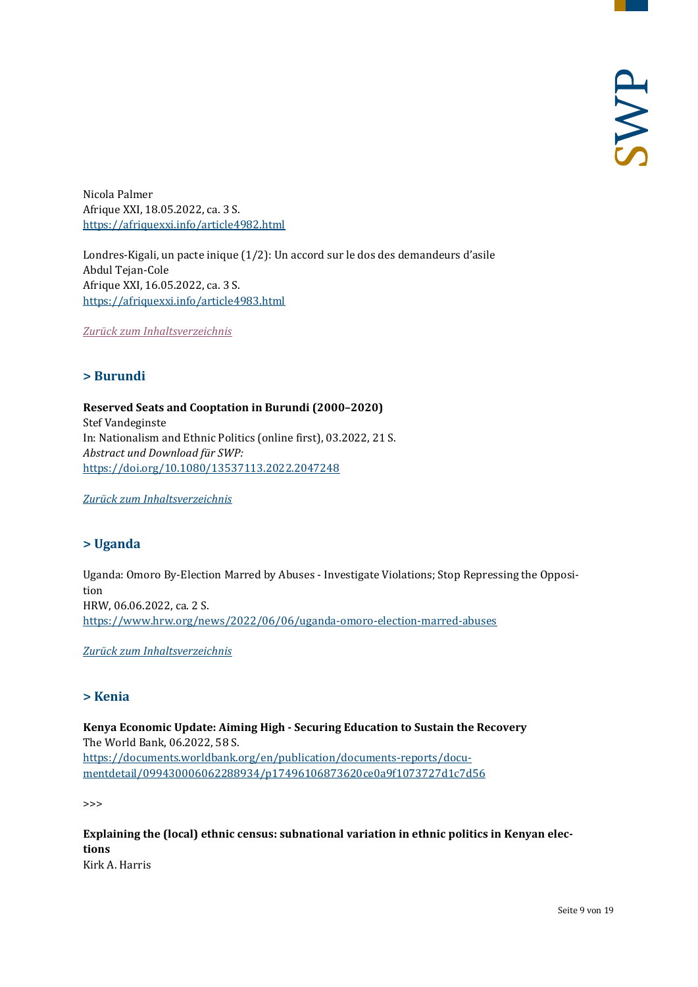Nicola Palmer Afrique XXI, 18.05.2022, ca. 3 S. <https://afriquexxi.info/article4982.html>

Londres-Kigali, un pacte inique (1/2): Un accord sur le dos des demandeurs d'asile Abdul Tejan-Cole Afrique XXI, 16.05.2022, ca. 3 S. <https://afriquexxi.info/article4983.html>

<span id="page-8-0"></span>*[Zurück zum Inhaltsverzeichnis](#page-0-0)*

#### **> Burundi**

**Reserved Seats and Cooptation in Burundi (2000–2020)** Stef Vandeginste In: Nationalism and Ethnic Politics (online first), 03.2022, 21 S. *Abstract und Download für SWP:* <https://doi.org/10.1080/13537113.2022.2047248>

<span id="page-8-1"></span>*[Zurück zum Inhaltsverzeichnis](#page-0-0)*

#### **> Uganda**

Uganda: Omoro By-Election Marred by Abuses - Investigate Violations; Stop Repressing the Opposition HRW, 06.06.2022, ca. 2 S. <https://www.hrw.org/news/2022/06/06/uganda-omoro-election-marred-abuses>

<span id="page-8-2"></span>*[Zurück zum Inhaltsverzeichnis](#page-0-0)*

#### **> Kenia**

**Kenya Economic Update: Aiming High - Securing Education to Sustain the Recovery** The World Bank, 06.2022, 58 S. [https://documents.worldbank.org/en/publication/documents-reports/docu](https://documents.worldbank.org/en/publication/documents-reports/documentdetail/099430006062288934/p17496106873620ce0a9f1073727d1c7d56)[mentdetail/099430006062288934/p17496106873620ce0a9f1073727d1c7d56](https://documents.worldbank.org/en/publication/documents-reports/documentdetail/099430006062288934/p17496106873620ce0a9f1073727d1c7d56)

>>>

**Explaining the (local) ethnic census: subnational variation in ethnic politics in Kenyan elections**  Kirk A. Harris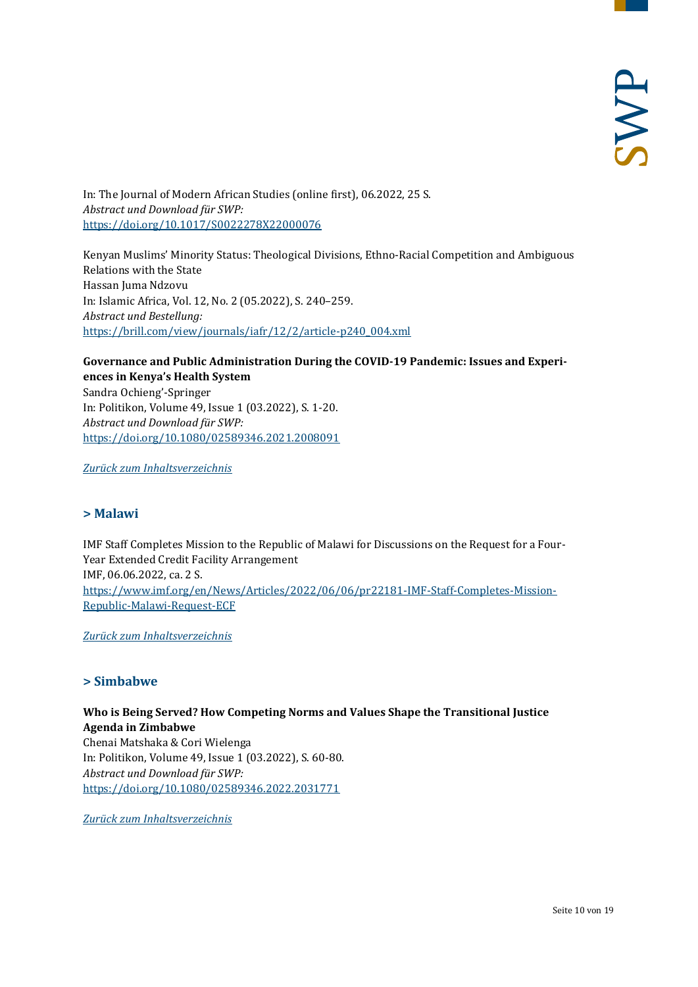In: The Journal of Modern African Studies (online first), 06.2022, 25 S. *Abstract und Download für SWP:* <https://doi.org/10.1017/S0022278X22000076>

Kenyan Muslims' Minority Status: Theological Divisions, Ethno-Racial Competition and Ambiguous Relations with the State Hassan Juma Ndzovu In: Islamic Africa, Vol. 12, No. 2 (05.2022), S. 240–259. *Abstract und Bestellung:* [https://brill.com/view/journals/iafr/12/2/article-p240\\_004.xml](https://brill.com/view/journals/iafr/12/2/article-p240_004.xml)

#### **Governance and Public Administration During the COVID-19 Pandemic: Issues and Experiences in Kenya's Health System**

Sandra Ochieng'-Springer In: Politikon, Volume 49, Issue 1 (03.2022), S. 1-20. *Abstract und Download für SWP:* <https://doi.org/10.1080/02589346.2021.2008091>

<span id="page-9-0"></span>*[Zurück zum Inhaltsverzeichnis](#page-0-0)*

#### **> Malawi**

IMF Staff Completes Mission to the Republic of Malawi for Discussions on the Request for a Four-Year Extended Credit Facility Arrangement IMF, 06.06.2022, ca. 2 S. [https://www.imf.org/en/News/Articles/2022/06/06/pr22181-IMF-Staff-Completes-Mission-](https://www.imf.org/en/News/Articles/2022/06/06/pr22181-IMF-Staff-Completes-Mission-Republic-Malawi-Request-ECF)[Republic-Malawi-Request-ECF](https://www.imf.org/en/News/Articles/2022/06/06/pr22181-IMF-Staff-Completes-Mission-Republic-Malawi-Request-ECF)

<span id="page-9-1"></span>*[Zurück zum Inhaltsverzeichnis](#page-0-0)*

#### **> Simbabwe**

**Who is Being Served? How Competing Norms and Values Shape the Transitional Justice Agenda in Zimbabwe** Chenai Matshaka & Cori Wielenga In: Politikon, Volume 49, Issue 1 (03.2022), S. 60-80. *Abstract und Download für SWP:* <https://doi.org/10.1080/02589346.2022.2031771>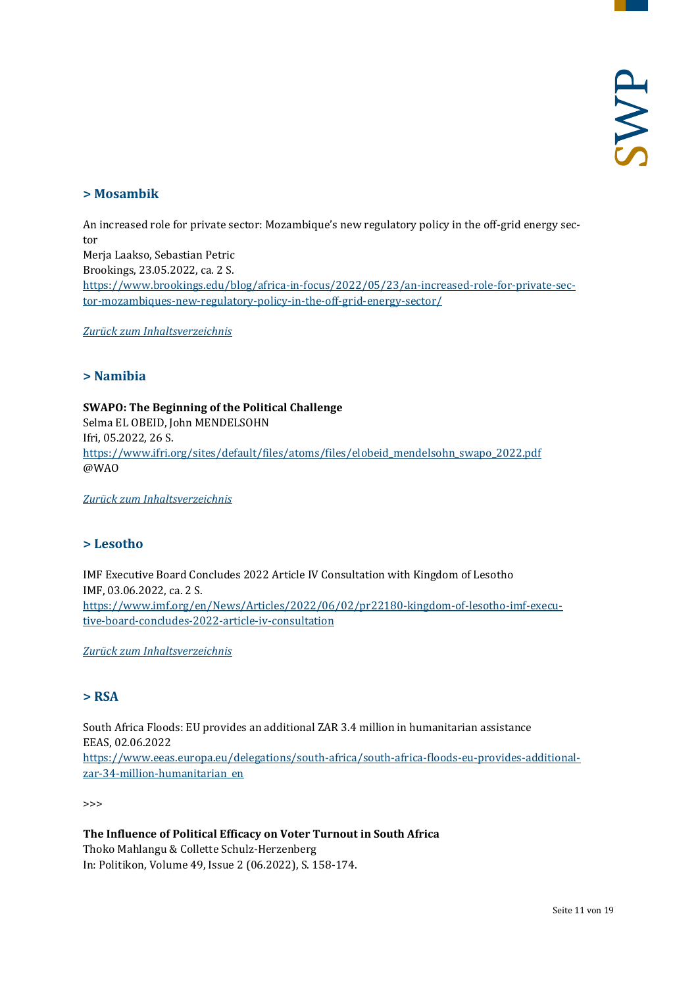#### <span id="page-10-0"></span>**> Mosambik**

An increased role for private sector: Mozambique's new regulatory policy in the off-grid energy sector Merja Laakso, Sebastian Petric Brookings, 23.05.2022, ca. 2 S. [https://www.brookings.edu/blog/africa-in-focus/2022/05/23/an-increased-role-for-private-sec](https://www.brookings.edu/blog/africa-in-focus/2022/05/23/an-increased-role-for-private-sector-mozambiques-new-regulatory-policy-in-the-off-grid-energy-sector/)[tor-mozambiques-new-regulatory-policy-in-the-off-grid-energy-sector/](https://www.brookings.edu/blog/africa-in-focus/2022/05/23/an-increased-role-for-private-sector-mozambiques-new-regulatory-policy-in-the-off-grid-energy-sector/)

<span id="page-10-1"></span>*[Zurück zum Inhaltsverzeichnis](#page-0-0)*

#### **> Namibia**

**SWAPO: The Beginning of the Political Challenge** Selma EL OBEID, John MENDELSOHN Ifri, 05.2022, 26 S. [https://www.ifri.org/sites/default/files/atoms/files/elobeid\\_mendelsohn\\_swapo\\_2022.pdf](https://www.ifri.org/sites/default/files/atoms/files/elobeid_mendelsohn_swapo_2022.pdf) @WAO

<span id="page-10-2"></span>*[Zurück zum Inhaltsverzeichnis](#page-0-0)*

#### **> Lesotho**

IMF Executive Board Concludes 2022 Article IV Consultation with Kingdom of Lesotho IMF, 03.06.2022, ca. 2 S. [https://www.imf.org/en/News/Articles/2022/06/02/pr22180-kingdom-of-lesotho-imf-execu](https://www.imf.org/en/News/Articles/2022/06/02/pr22180-kingdom-of-lesotho-imf-executive-board-concludes-2022-article-iv-consultation)[tive-board-concludes-2022-article-iv-consultation](https://www.imf.org/en/News/Articles/2022/06/02/pr22180-kingdom-of-lesotho-imf-executive-board-concludes-2022-article-iv-consultation)

<span id="page-10-3"></span>*[Zurück zum Inhaltsverzeichnis](#page-0-0)*

#### **> RSA**

South Africa Floods: EU provides an additional ZAR 3.4 million in humanitarian assistance EEAS, 02.06.2022 [https://www.eeas.europa.eu/delegations/south-africa/south-africa-floods-eu-provides-additional](https://www.eeas.europa.eu/delegations/south-africa/south-africa-floods-eu-provides-additional-zar-34-million-humanitarian_en)[zar-34-million-humanitarian\\_en](https://www.eeas.europa.eu/delegations/south-africa/south-africa-floods-eu-provides-additional-zar-34-million-humanitarian_en)

>>>

**The Influence of Political Efficacy on Voter Turnout in South Africa** Thoko Mahlangu & Collette Schulz-Herzenberg In: Politikon, Volume 49, Issue 2 (06.2022), S. 158-174.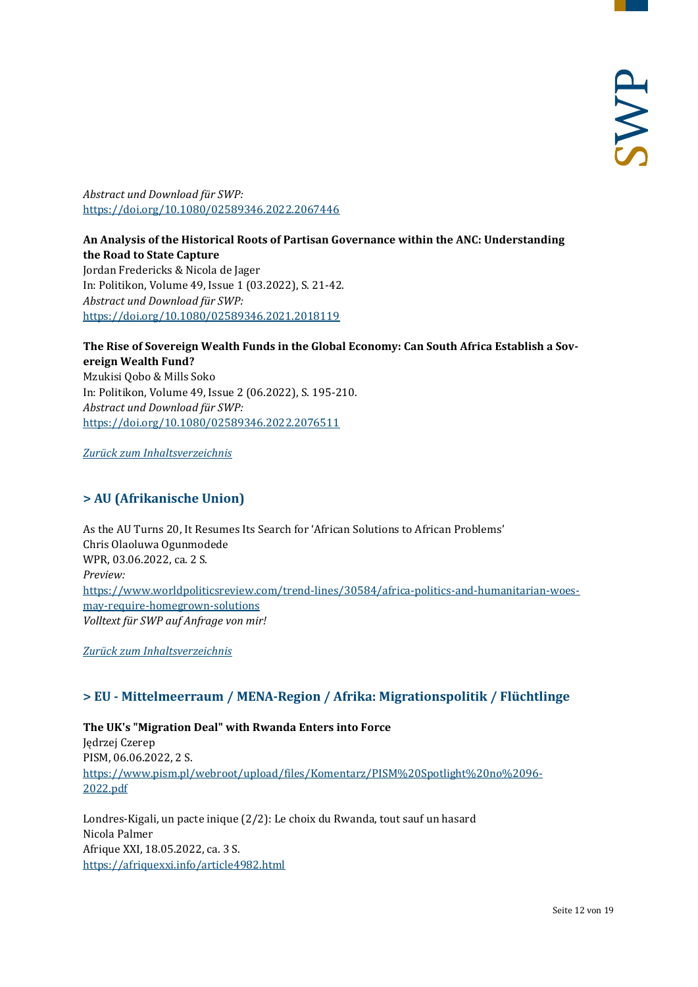*Abstract und Download für SWP:* <https://doi.org/10.1080/02589346.2022.2067446>

#### **An Analysis of the Historical Roots of Partisan Governance within the ANC: Understanding the Road to State Capture** Jordan Fredericks & Nicola de Jager In: Politikon, Volume 49, Issue 1 (03.2022), S. 21-42. *Abstract und Download für SWP:* <https://doi.org/10.1080/02589346.2021.2018119>

**The Rise of Sovereign Wealth Funds in the Global Economy: Can South Africa Establish a Sovereign Wealth Fund?** Mzukisi Qobo & Mills Soko In: Politikon, Volume 49, Issue 2 (06.2022), S. 195-210. *Abstract und Download für SWP:* <https://doi.org/10.1080/02589346.2022.2076511>

<span id="page-11-0"></span>*[Zurück zum Inhaltsverzeichnis](#page-0-0)*

# **> AU (Afrikanische Union)**

As the AU Turns 20, It Resumes Its Search for 'African Solutions to African Problems' Chris Olaoluwa Ogunmodede WPR, 03.06.2022, ca. 2 S. *Preview:* [https://www.worldpoliticsreview.com/trend-lines/30584/africa-politics-and-humanitarian-woes](https://www.worldpoliticsreview.com/trend-lines/30584/africa-politics-and-humanitarian-woes-may-require-homegrown-solutions)[may-require-homegrown-solutions](https://www.worldpoliticsreview.com/trend-lines/30584/africa-politics-and-humanitarian-woes-may-require-homegrown-solutions) *Volltext für SWP auf Anfrage von mir!*

<span id="page-11-1"></span>*[Zurück zum Inhaltsverzeichnis](#page-0-0)*

# **> EU - Mittelmeerraum / MENA-Region / Afrika: Migrationspolitik / Flüchtlinge**

**The UK's "Migration Deal" with Rwanda Enters into Force**  Jędrzej Czerep PISM, 06.06.2022, 2 S. [https://www.pism.pl/webroot/upload/files/Komentarz/PISM%20Spotlight%20no%2096-](https://www.pism.pl/webroot/upload/files/Komentarz/PISM%20Spotlight%20no%2096-2022.pdf) [2022.pdf](https://www.pism.pl/webroot/upload/files/Komentarz/PISM%20Spotlight%20no%2096-2022.pdf)

Londres-Kigali, un pacte inique (2/2): Le choix du Rwanda, tout sauf un hasard Nicola Palmer Afrique XXI, 18.05.2022, ca. 3 S. <https://afriquexxi.info/article4982.html>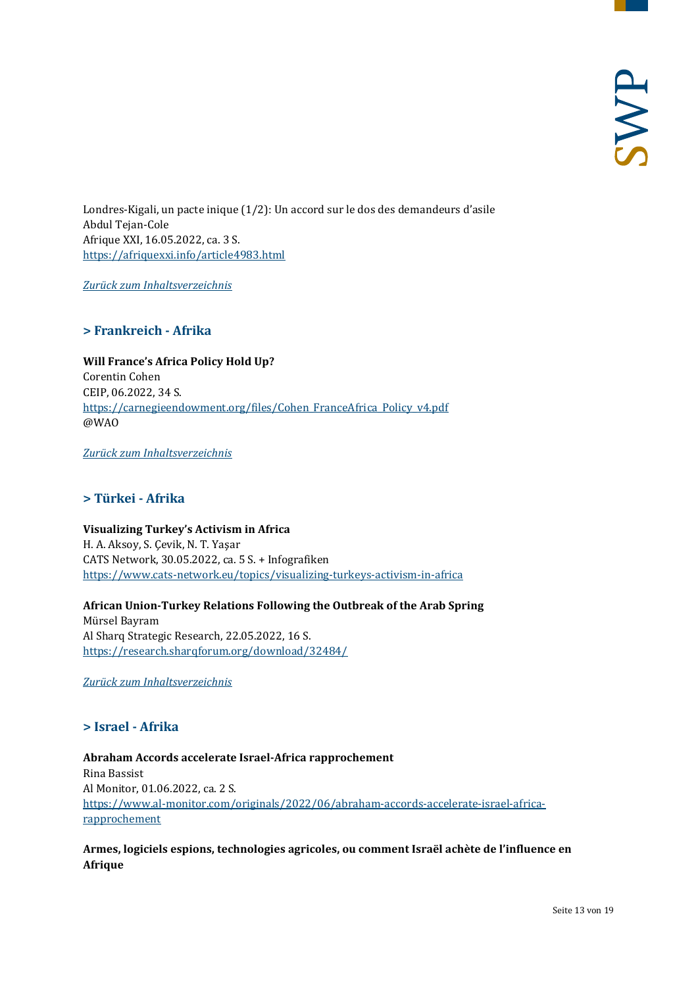Londres-Kigali, un pacte inique (1/2): Un accord sur le dos des demandeurs d'asile Abdul Tejan-Cole Afrique XXI, 16.05.2022, ca. 3 S. <https://afriquexxi.info/article4983.html>

<span id="page-12-0"></span>*[Zurück zum Inhaltsverzeichnis](#page-0-0)*

# **> Frankreich - Afrika**

**Will France's Africa Policy Hold Up?** Corentin Cohen CEIP, 06.2022, 34 S. [https://carnegieendowment.org/files/Cohen\\_FranceAfrica\\_Policy\\_v4.pdf](https://carnegieendowment.org/files/Cohen_FranceAfrica_Policy_v4.pdf) @WAO

<span id="page-12-1"></span>*[Zurück zum Inhaltsverzeichnis](#page-0-0)*

#### **> Türkei - Afrika**

**Visualizing Turkey's Activism in Africa**  H. A. Aksoy, S. Çevik, N. T. Yaşar CATS Network, 30.05.2022, ca. 5 S. + Infografiken <https://www.cats-network.eu/topics/visualizing-turkeys-activism-in-africa>

**African Union-Turkey Relations Following the Outbreak of the Arab Spring** Mürsel Bayram Al Sharq Strategic Research, 22.05.2022, 16 S. <https://research.sharqforum.org/download/32484/>

<span id="page-12-2"></span>*[Zurück zum Inhaltsverzeichnis](#page-0-0)*

### **> Israel - Afrika**

**Abraham Accords accelerate Israel-Africa rapprochement** Rina Bassist Al Monitor, 01.06.2022, ca. 2 S. [https://www.al-monitor.com/originals/2022/06/abraham-accords-accelerate-israel-africa](https://www.al-monitor.com/originals/2022/06/abraham-accords-accelerate-israel-africa-rapprochement)[rapprochement](https://www.al-monitor.com/originals/2022/06/abraham-accords-accelerate-israel-africa-rapprochement)

**Armes, logiciels espions, technologies agricoles, ou comment Israël achète de l'influence en Afrique**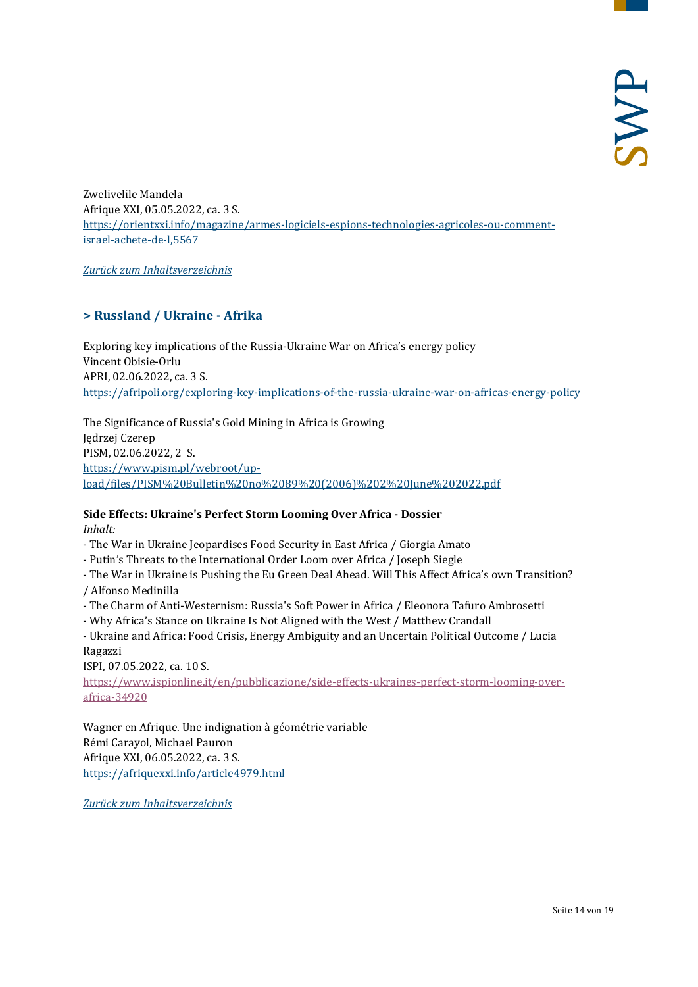Zwelivelile Mandela Afrique XXI, 05.05.2022, ca. 3 S. [https://orientxxi.info/magazine/armes-logiciels-espions-technologies-agricoles-ou-comment](https://orientxxi.info/magazine/armes-logiciels-espions-technologies-agricoles-ou-comment-israel-achete-de-l,5567)[israel-achete-de-l,5567](https://orientxxi.info/magazine/armes-logiciels-espions-technologies-agricoles-ou-comment-israel-achete-de-l,5567)

<span id="page-13-0"></span>*[Zurück zum Inhaltsverzeichnis](#page-0-0)*

# **> Russland / Ukraine - Afrika**

Exploring key implications of the Russia-Ukraine War on Africa's energy policy Vincent Obisie-Orlu APRI, 02.06.2022, ca. 3 S. <https://afripoli.org/exploring-key-implications-of-the-russia-ukraine-war-on-africas-energy-policy>

The Significance of Russia's Gold Mining in Africa is Growing Jędrzej Czerep PISM, 02.06.2022, 2 S. [https://www.pism.pl/webroot/up](https://www.pism.pl/webroot/upload/files/PISM%20Bulletin%20no%2089%20(2006)%202%20June%202022.pdf)[load/files/PISM%20Bulletin%20no%2089%20\(2006\)%202%20June%202022.pdf](https://www.pism.pl/webroot/upload/files/PISM%20Bulletin%20no%2089%20(2006)%202%20June%202022.pdf)

#### **Side Effects: Ukraine's Perfect Storm Looming Over Africa - Dossier** *Inhalt:*

- The War in Ukraine Jeopardises Food Security in East Africa / Giorgia Amato
- Putin's Threats to the International Order Loom over Africa / Joseph Siegle
- The War in Ukraine is Pushing the Eu Green Deal Ahead. Will This Affect Africa's own Transition? / Alfonso Medinilla
- The Charm of Anti-Westernism: Russia's Soft Power in Africa / Eleonora Tafuro Ambrosetti
- Why Africa's Stance on Ukraine Is Not Aligned with the West / Matthew Crandall
- Ukraine and Africa: Food Crisis, Energy Ambiguity and an Uncertain Political Outcome / Lucia Ragazzi

ISPI, 07.05.2022, ca. 10 S.

[https://www.ispionline.it/en/pubblicazione/side-effects-ukraines-perfect-storm-looming-over](https://www.ispionline.it/en/pubblicazione/side-effects-ukraines-perfect-storm-looming-over-africa-34920)[africa-34920](https://www.ispionline.it/en/pubblicazione/side-effects-ukraines-perfect-storm-looming-over-africa-34920)

Wagner en Afrique. Une indignation à géométrie variable Rémi Carayol, Michael Pauron Afrique XXI, 06.05.2022, ca. 3 S. <https://afriquexxi.info/article4979.html>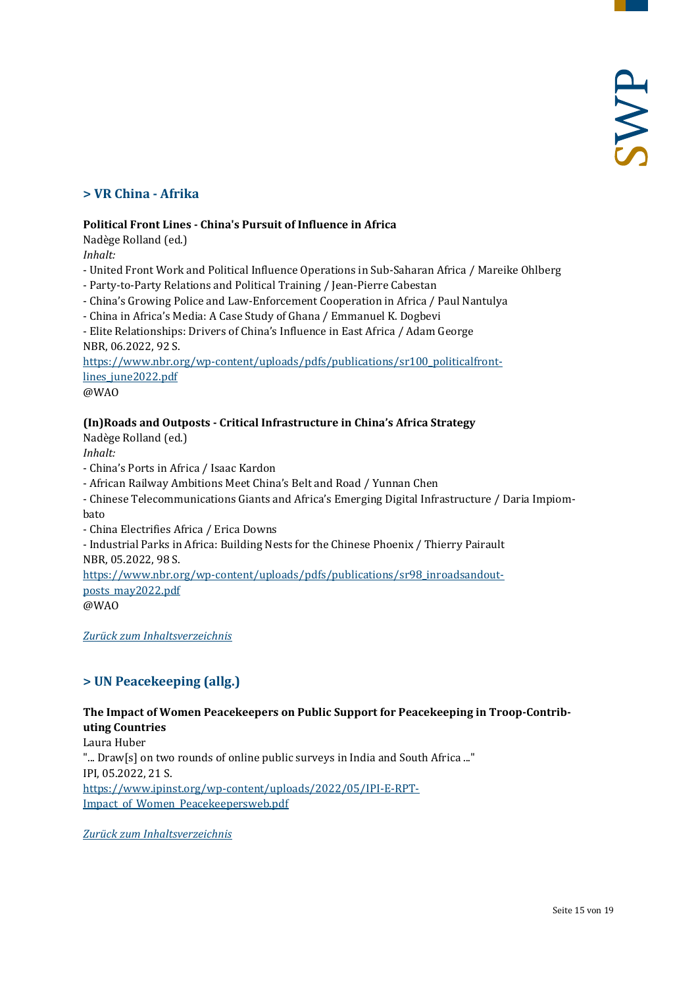# <span id="page-14-0"></span>**> VR China - Afrika**

#### **Political Front Lines - China's Pursuit of Influence in Africa**

Nadège Rolland (ed.)

*Inhalt:*

- United Front Work and Political Influence Operations in Sub-Saharan Africa / Mareike Ohlberg
- Party-to-Party Relations and Political Training / Jean-Pierre Cabestan
- China's Growing Police and Law-Enforcement Cooperation in Africa / Paul Nantulya
- China in Africa's Media: A Case Study of Ghana / Emmanuel K. Dogbevi

- Elite Relationships: Drivers of China's Influence in East Africa / Adam George NBR, 06.2022, 92 S.

[https://www.nbr.org/wp-content/uploads/pdfs/publications/sr100\\_politicalfront](https://www.nbr.org/wp-content/uploads/pdfs/publications/sr100_politicalfrontlines_june2022.pdf)[lines\\_june2022.pdf](https://www.nbr.org/wp-content/uploads/pdfs/publications/sr100_politicalfrontlines_june2022.pdf)

@WAO

#### **(In)Roads and Outposts - Critical Infrastructure in China's Africa Strategy**

Nadège Rolland (ed.)

*Inhalt:*

- China's Ports in Africa / Isaac Kardon
- African Railway Ambitions Meet China's Belt and Road / Yunnan Chen
- Chinese Telecommunications Giants and Africa's Emerging Digital Infrastructure / Daria Impiombato
- China Electrifies Africa / Erica Downs
- Industrial Parks in Africa: Building Nests for the Chinese Phoenix / Thierry Pairault NBR, 05.2022, 98 S.

[https://www.nbr.org/wp-content/uploads/pdfs/publications/sr98\\_inroadsandout](https://www.nbr.org/wp-content/uploads/pdfs/publications/sr98_inroadsandoutposts_may2022.pdf)[posts\\_may2022.pdf](https://www.nbr.org/wp-content/uploads/pdfs/publications/sr98_inroadsandoutposts_may2022.pdf)

<span id="page-14-1"></span>*[Zurück zum Inhaltsverzeichnis](#page-0-0)*

# **> UN Peacekeeping (allg.)**

#### **The Impact of Women Peacekeepers on Public Support for Peacekeeping in Troop-Contributing Countries**

Laura Huber "... Draw[s] on two rounds of online public surveys in India and South Africa ..." IPI, 05.2022, 21 S. [https://www.ipinst.org/wp-content/uploads/2022/05/IPI-E-RPT-](https://www.ipinst.org/wp-content/uploads/2022/05/IPI-E-RPT-Impact_of_Women_Peacekeepersweb.pdf)Impact of Women Peacekeepersweb.pdf

<sup>@</sup>WAO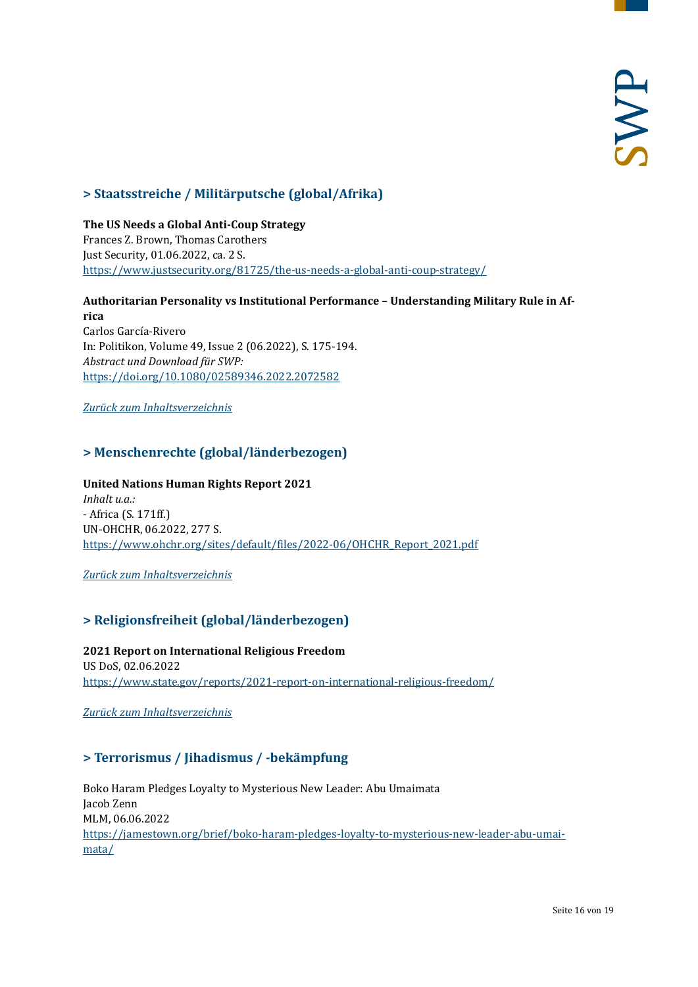# <span id="page-15-0"></span>**> Staatsstreiche / Militärputsche (global/Afrika)**

**The US Needs a Global Anti-Coup Strategy** Frances Z. Brown, Thomas Carothers Just Security, 01.06.2022, ca. 2 S. <https://www.justsecurity.org/81725/the-us-needs-a-global-anti-coup-strategy/>

**Authoritarian Personality vs Institutional Performance – Understanding Military Rule in Africa**

Carlos García-Rivero In: Politikon, Volume 49, Issue 2 (06.2022), S. 175-194. *Abstract und Download für SWP:* <https://doi.org/10.1080/02589346.2022.2072582>

<span id="page-15-1"></span>*[Zurück zum Inhaltsverzeichnis](#page-0-0)*

# **> Menschenrechte (global/länderbezogen)**

**United Nations Human Rights Report 2021** *Inhalt u.a.:* - Africa (S. 171ff.) UN-OHCHR, 06.2022, 277 S. [https://www.ohchr.org/sites/default/files/2022-06/OHCHR\\_Report\\_2021.pdf](https://www.ohchr.org/sites/default/files/2022-06/OHCHR_Report_2021.pdf)

<span id="page-15-2"></span>*[Zurück zum Inhaltsverzeichnis](#page-0-0)*

# **> Religionsfreiheit (global/länderbezogen)**

**2021 Report on International Religious Freedom**  US DoS, 02.06.2022 <https://www.state.gov/reports/2021-report-on-international-religious-freedom/>

<span id="page-15-3"></span>*[Zurück zum Inhaltsverzeichnis](#page-0-0)*

# **> Terrorismus / Jihadismus / -bekämpfung**

Boko Haram Pledges Loyalty to Mysterious New Leader: Abu Umaimata Jacob Zenn MLM, 06.06.2022 [https://jamestown.org/brief/boko-haram-pledges-loyalty-to-mysterious-new-leader-abu-umai](https://jamestown.org/brief/boko-haram-pledges-loyalty-to-mysterious-new-leader-abu-umaimata/)[mata/](https://jamestown.org/brief/boko-haram-pledges-loyalty-to-mysterious-new-leader-abu-umaimata/)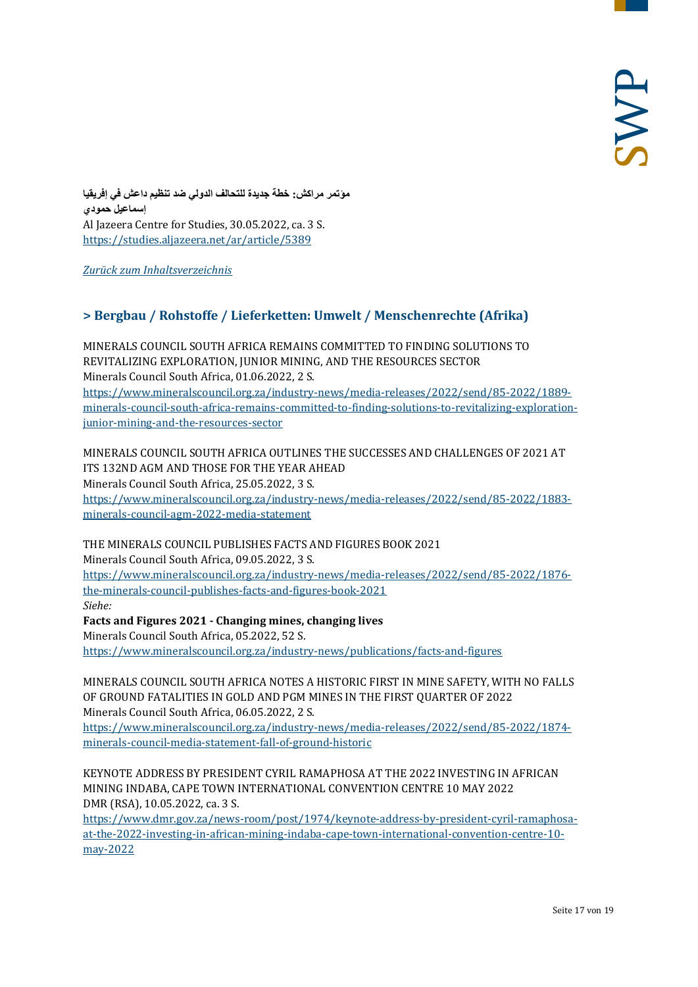**مؤتمر مراكش: خطة جدیدة للتحالف الدولي ضد تنظیم داعش في إفریقیا إسماعیل حمودي** Al Jazeera Centre for Studies, 30.05.2022, ca. 3 S. <https://studies.aljazeera.net/ar/article/5389>

<span id="page-16-0"></span>*[Zurück zum Inhaltsverzeichnis](#page-0-0)*

# **> Bergbau / Rohstoffe / Lieferketten: Umwelt / Menschenrechte (Afrika)**

MINERALS COUNCIL SOUTH AFRICA REMAINS COMMITTED TO FINDING SOLUTIONS TO REVITALIZING EXPLORATION, JUNIOR MINING, AND THE RESOURCES SECTOR Minerals Council South Africa, 01.06.2022, 2 S.

[https://www.mineralscouncil.org.za/industry-news/media-releases/2022/send/85-2022/1889](https://www.mineralscouncil.org.za/industry-news/media-releases/2022/send/85-2022/1889-minerals-council-south-africa-remains-committed-to-finding-solutions-to-revitalizing-exploration-junior-mining-and-the-resources-sector) [minerals-council-south-africa-remains-committed-to-finding-solutions-to-revitalizing-exploration](https://www.mineralscouncil.org.za/industry-news/media-releases/2022/send/85-2022/1889-minerals-council-south-africa-remains-committed-to-finding-solutions-to-revitalizing-exploration-junior-mining-and-the-resources-sector)[junior-mining-and-the-resources-sector](https://www.mineralscouncil.org.za/industry-news/media-releases/2022/send/85-2022/1889-minerals-council-south-africa-remains-committed-to-finding-solutions-to-revitalizing-exploration-junior-mining-and-the-resources-sector)

MINERALS COUNCIL SOUTH AFRICA OUTLINES THE SUCCESSES AND CHALLENGES OF 2021 AT ITS 132ND AGM AND THOSE FOR THE YEAR AHEAD Minerals Council South Africa, 25.05.2022, 3 S. [https://www.mineralscouncil.org.za/industry-news/media-releases/2022/send/85-2022/1883](https://www.mineralscouncil.org.za/industry-news/media-releases/2022/send/85-2022/1883-minerals-council-agm-2022-media-statement) [minerals-council-agm-2022-media-statement](https://www.mineralscouncil.org.za/industry-news/media-releases/2022/send/85-2022/1883-minerals-council-agm-2022-media-statement)

THE MINERALS COUNCIL PUBLISHES FACTS AND FIGURES BOOK 2021

Minerals Council South Africa, 09.05.2022, 3 S.

[https://www.mineralscouncil.org.za/industry-news/media-releases/2022/send/85-2022/1876](https://www.mineralscouncil.org.za/industry-news/media-releases/2022/send/85-2022/1876-the-minerals-council-publishes-facts-and-figures-book-2021) [the-minerals-council-publishes-facts-and-figures-book-2021](https://www.mineralscouncil.org.za/industry-news/media-releases/2022/send/85-2022/1876-the-minerals-council-publishes-facts-and-figures-book-2021)

*Siehe:*

**Facts and Figures 2021 - Changing mines, changing lives**

Minerals Council South Africa, 05.2022, 52 S.

<https://www.mineralscouncil.org.za/industry-news/publications/facts-and-figures>

MINERALS COUNCIL SOUTH AFRICA NOTES A HISTORIC FIRST IN MINE SAFETY, WITH NO FALLS OF GROUND FATALITIES IN GOLD AND PGM MINES IN THE FIRST QUARTER OF 2022 Minerals Council South Africa, 06.05.2022, 2 S.

[https://www.mineralscouncil.org.za/industry-news/media-releases/2022/send/85-2022/1874](https://www.mineralscouncil.org.za/industry-news/media-releases/2022/send/85-2022/1874-minerals-council-media-statement-fall-of-ground-historic) [minerals-council-media-statement-fall-of-ground-historic](https://www.mineralscouncil.org.za/industry-news/media-releases/2022/send/85-2022/1874-minerals-council-media-statement-fall-of-ground-historic)

KEYNOTE ADDRESS BY PRESIDENT CYRIL RAMAPHOSA AT THE 2022 INVESTING IN AFRICAN MINING INDABA, CAPE TOWN INTERNATIONAL CONVENTION CENTRE 10 MAY 2022 DMR (RSA), 10.05.2022, ca. 3 S.

[https://www.dmr.gov.za/news-room/post/1974/keynote-address-by-president-cyril-ramaphosa](https://www.dmr.gov.za/news-room/post/1974/keynote-address-by-president-cyril-ramaphosa-at-the-2022-investing-in-african-mining-indaba-cape-town-international-convention-centre-10-may-2022)[at-the-2022-investing-in-african-mining-indaba-cape-town-international-convention-centre-10](https://www.dmr.gov.za/news-room/post/1974/keynote-address-by-president-cyril-ramaphosa-at-the-2022-investing-in-african-mining-indaba-cape-town-international-convention-centre-10-may-2022) [may-2022](https://www.dmr.gov.za/news-room/post/1974/keynote-address-by-president-cyril-ramaphosa-at-the-2022-investing-in-african-mining-indaba-cape-town-international-convention-centre-10-may-2022)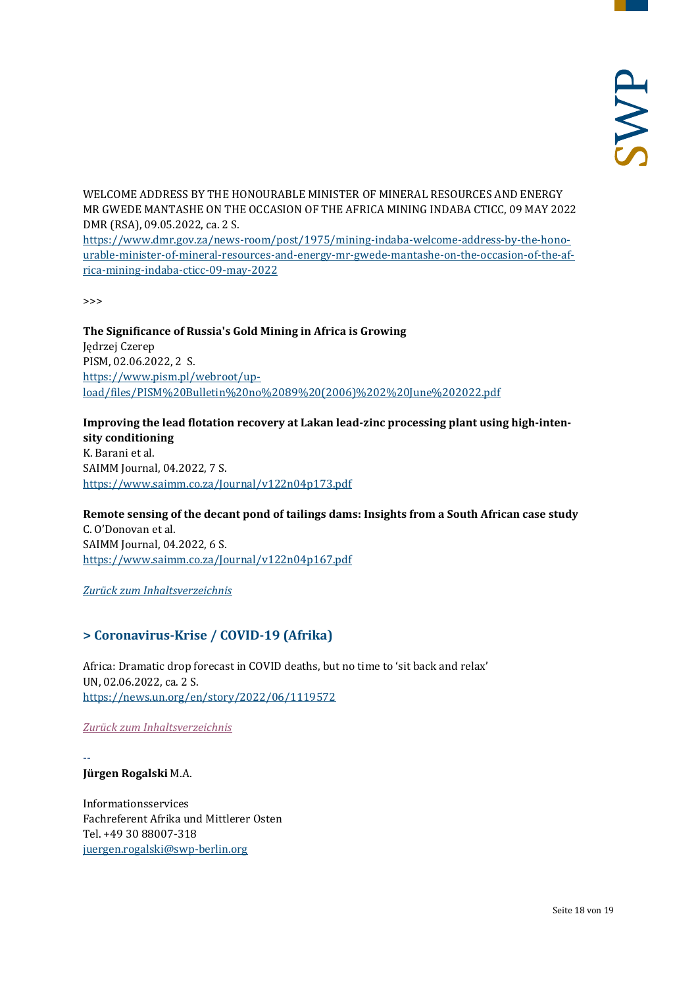WELCOME ADDRESS BY THE HONOURABLE MINISTER OF MINERAL RESOURCES AND ENERGY MR GWEDE MANTASHE ON THE OCCASION OF THE AFRICA MINING INDABA CTICC, 09 MAY 2022 DMR (RSA), 09.05.2022, ca. 2 S.

[https://www.dmr.gov.za/news-room/post/1975/mining-indaba-welcome-address-by-the-hono](https://www.dmr.gov.za/news-room/post/1975/mining-indaba-welcome-address-by-the-honourable-minister-of-mineral-resources-and-energy-mr-gwede-mantashe-on-the-occasion-of-the-africa-mining-indaba-cticc-09-may-2022)[urable-minister-of-mineral-resources-and-energy-mr-gwede-mantashe-on-the-occasion-of-the-af](https://www.dmr.gov.za/news-room/post/1975/mining-indaba-welcome-address-by-the-honourable-minister-of-mineral-resources-and-energy-mr-gwede-mantashe-on-the-occasion-of-the-africa-mining-indaba-cticc-09-may-2022)[rica-mining-indaba-cticc-09-may-2022](https://www.dmr.gov.za/news-room/post/1975/mining-indaba-welcome-address-by-the-honourable-minister-of-mineral-resources-and-energy-mr-gwede-mantashe-on-the-occasion-of-the-africa-mining-indaba-cticc-09-may-2022)

>>>

**The Significance of Russia's Gold Mining in Africa is Growing**  Jędrzej Czerep PISM, 02.06.2022, 2 S. [https://www.pism.pl/webroot/up](https://www.pism.pl/webroot/upload/files/PISM%20Bulletin%20no%2089%20(2006)%202%20June%202022.pdf)[load/files/PISM%20Bulletin%20no%2089%20\(2006\)%202%20June%202022.pdf](https://www.pism.pl/webroot/upload/files/PISM%20Bulletin%20no%2089%20(2006)%202%20June%202022.pdf)

**Improving the lead flotation recovery at Lakan lead-zinc processing plant using high-intensity conditioning** K. Barani et al. SAIMM Journal, 04.2022, 7 S. <https://www.saimm.co.za/Journal/v122n04p173.pdf>

**Remote sensing of the decant pond of tailings dams: Insights from a South African case study** C. O'Donovan et al. SAIMM Journal, 04.2022, 6 S. <https://www.saimm.co.za/Journal/v122n04p167.pdf>

<span id="page-17-0"></span>*[Zurück zum Inhaltsverzeichnis](#page-0-0)*

# **> Coronavirus-Krise / COVID-19 (Afrika)**

Africa: Dramatic drop forecast in COVID deaths, but no time to 'sit back and relax' UN, 02.06.2022, ca. 2 S. <https://news.un.org/en/story/2022/06/1119572>

*[Zurück zum Inhaltsverzeichnis](#page-0-0)*

-- **Jürgen Rogalski** M.A.

Informationsservices Fachreferent Afrika und Mittlerer Osten Tel. +49 30 88007-318 [juergen.rogalski@swp-berlin.org](mailto:juergen.rogalski@swp-berlin.org)